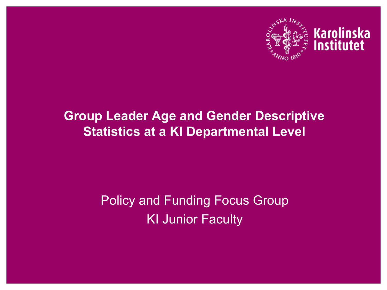

# Karolinska<br>Institutet

### **Group Leader Age and Gender Descriptive Statistics at a KI Departmental Level**

### Policy and Funding Focus Group KI Junior Faculty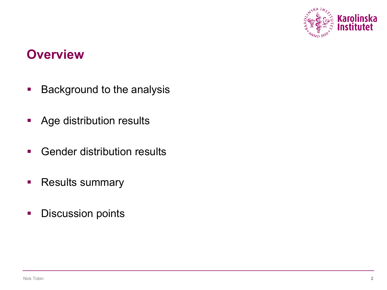

### **Overview**

- Background to the analysis
- Age distribution results
- **Gender distribution results**
- Results summary
- **•** Discussion points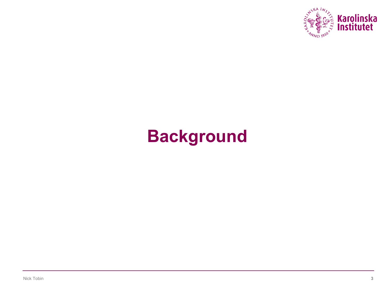

# **Background**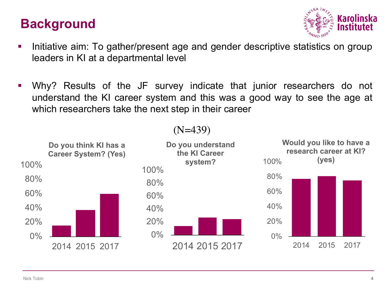### **Background**



- Initiative aim: To gather/present age and gender descriptive statistics on group leaders in KI at a departmental level
- § Why? Results of the JF survey indicate that junior researchers do not understand the KI career system and this was a good way to see the age at which researchers take the next step in their career

#### (N=439)

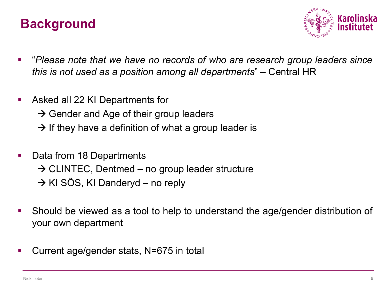### **Background**



- § "*Please note that we have no records of who are research group leaders since this is not used as a position among all departments*" – Central HR
- **Asked all 22 KI Departments for** 
	- $\rightarrow$  Gender and Age of their group leaders
	- $\rightarrow$  If they have a definition of what a group leader is
- Data from 18 Departments  $\rightarrow$  CLINTEC, Dentmed – no group leader structure  $\rightarrow$  KI SÖS, KI Danderyd – no reply
- § Should be viewed as a tool to help to understand the age/gender distribution of your own department
- Current age/gender stats, N=675 in total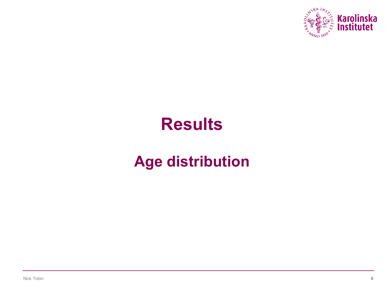

# **Results**

# **Age distribution**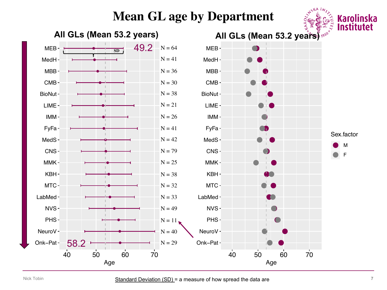#### **Mean GL age by Department**



Age

Age

 $A^{SKA}$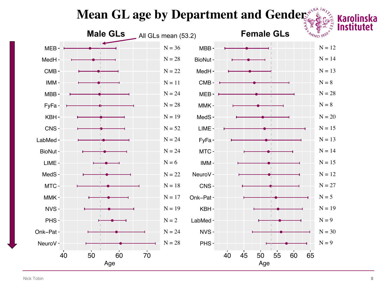# **Mean GL age by Department and Genders of the Algebra Section**



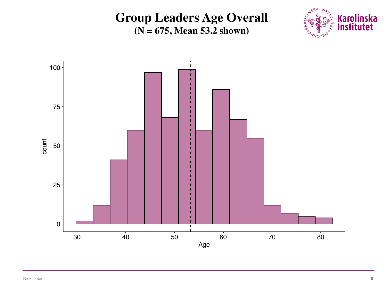#### **Group Leaders Age Overall (N = 675, Mean 53.2 shown)**



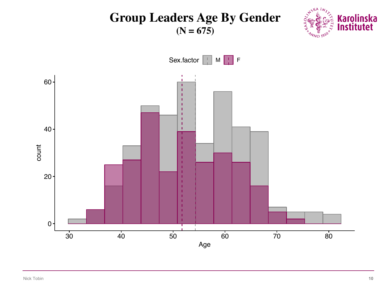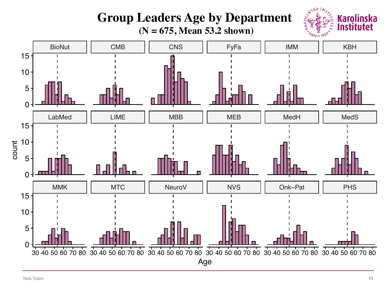#### **CITYSKA INSTANTS Group Leaders Age by Department Karolinska**  $\vec{r}$ stitute **(N = 675, Mean 53.2 shown)**  $1810^{*}$ BioNut || CMB || CNS || FyFa || IMM || KBH 15 10 5  $\Omega$ LabMed || LIME || MBB || MEB || MedH || MedS 15 count10 5  $\overline{0}$ MMK | MTC | NeuroV | NVS | Onk–Pat | PHS 15 10 5  $\Omega$ 30 40 50 60 70 80 30 40 50 60 70 80 30 40 50 60 70 80 30 40 50 60 70 80 30 40 50 60 70 80 30 40 50 60 70 80 Age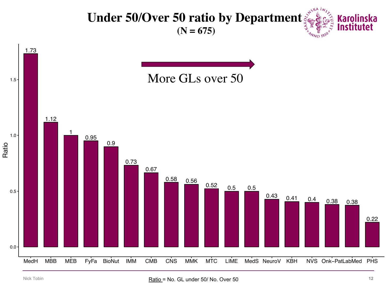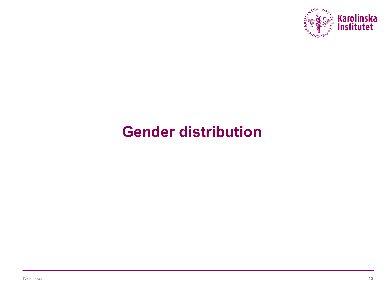

### **Gender distribution**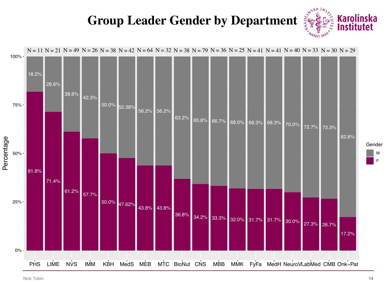### **Group Leader Gender by Department**



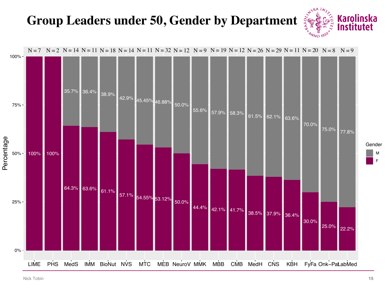### **Group Leaders under 50, Gender by Department**



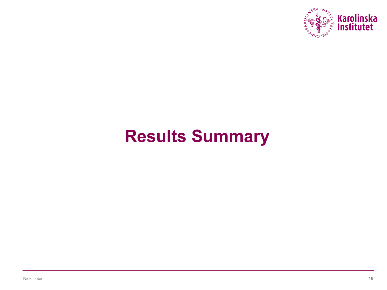

# **Results Summary**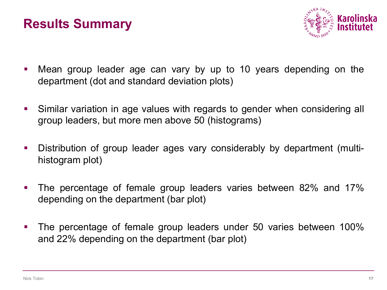### **Results Summary**



- Mean group leader age can vary by up to 10 years depending on the department (dot and standard deviation plots)
- Similar variation in age values with regards to gender when considering all group leaders, but more men above 50 (histograms)
- Distribution of group leader ages vary considerably by department (multihistogram plot)
- The percentage of female group leaders varies between 82% and 17% depending on the department (bar plot)
- The percentage of female group leaders under 50 varies between 100% and 22% depending on the department (bar plot)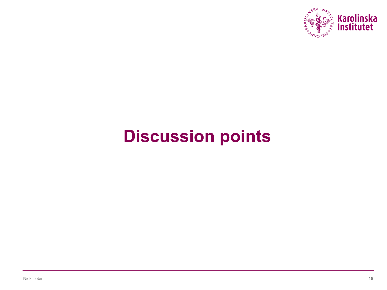

# **Discussion points**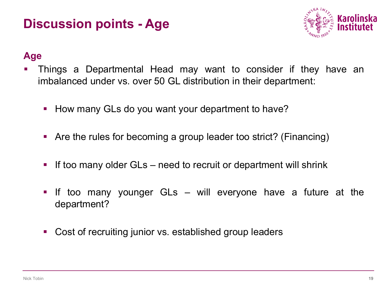### **Discussion points - Age**



#### **Age**

- § Things a Departmental Head may want to consider if they have an imbalanced under vs. over 50 GL distribution in their department:
	- How many GLs do you want your department to have?
	- Are the rules for becoming a group leader too strict? (Financing)
	- If too many older GLs need to recruit or department will shrink
	- If too many younger GLs will everyone have a future at the department?
	- Cost of recruiting junior vs. established group leaders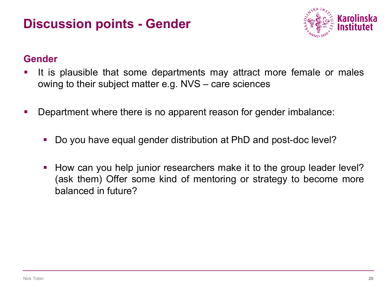### **Discussion points - Gender**



#### **Gender**

- It is plausible that some departments may attract more female or males owing to their subject matter e.g. NVS – care sciences
- Department where there is no apparent reason for gender imbalance:
	- § Do you have equal gender distribution at PhD and post-doc level?
	- How can you help junior researchers make it to the group leader level? (ask them) Offer some kind of mentoring or strategy to become more balanced in future?